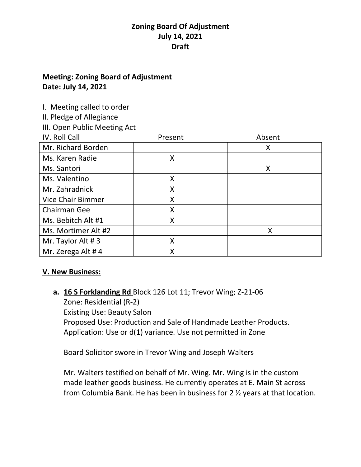## **Meeting: Zoning Board of Adjustment Date: July 14, 2021**

I. Meeting called to order

II. Pledge of Allegiance

III. Open Public Meeting Act

| IV. Roll Call            | Present | Absent |
|--------------------------|---------|--------|
| Mr. Richard Borden       |         | X      |
| Ms. Karen Radie          | Χ       |        |
| Ms. Santori              |         | X      |
| Ms. Valentino            | Χ       |        |
| Mr. Zahradnick           | Χ       |        |
| <b>Vice Chair Bimmer</b> | X       |        |
| Chairman Gee             | X       |        |
| Ms. Bebitch Alt #1       | Χ       |        |
| Ms. Mortimer Alt #2      |         | X      |
| Mr. Taylor Alt #3        | Χ       |        |
| Mr. Zerega Alt #4        |         |        |

## **V. New Business:**

**a. 16 S Forklanding Rd** Block 126 Lot 11; Trevor Wing; Z-21-06 Zone: Residential (R-2) Existing Use: Beauty Salon Proposed Use: Production and Sale of Handmade Leather Products. Application: Use or d(1) variance. Use not permitted in Zone

Board Solicitor swore in Trevor Wing and Joseph Walters

Mr. Walters testified on behalf of Mr. Wing. Mr. Wing is in the custom made leather goods business. He currently operates at E. Main St across from Columbia Bank. He has been in business for 2 ½ years at that location.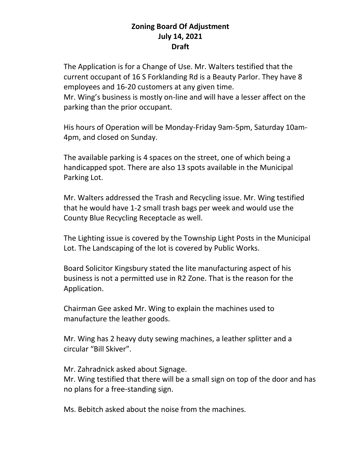The Application is for a Change of Use. Mr. Walters testified that the current occupant of 16 S Forklanding Rd is a Beauty Parlor. They have 8 employees and 16-20 customers at any given time.

Mr. Wing's business is mostly on-line and will have a lesser affect on the parking than the prior occupant.

His hours of Operation will be Monday-Friday 9am-5pm, Saturday 10am-4pm, and closed on Sunday.

The available parking is 4 spaces on the street, one of which being a handicapped spot. There are also 13 spots available in the Municipal Parking Lot.

Mr. Walters addressed the Trash and Recycling issue. Mr. Wing testified that he would have 1-2 small trash bags per week and would use the County Blue Recycling Receptacle as well.

The Lighting issue is covered by the Township Light Posts in the Municipal Lot. The Landscaping of the lot is covered by Public Works.

Board Solicitor Kingsbury stated the lite manufacturing aspect of his business is not a permitted use in R2 Zone. That is the reason for the Application.

Chairman Gee asked Mr. Wing to explain the machines used to manufacture the leather goods.

Mr. Wing has 2 heavy duty sewing machines, a leather splitter and a circular "Bill Skiver".

Mr. Zahradnick asked about Signage.

Mr. Wing testified that there will be a small sign on top of the door and has no plans for a free-standing sign.

Ms. Bebitch asked about the noise from the machines.